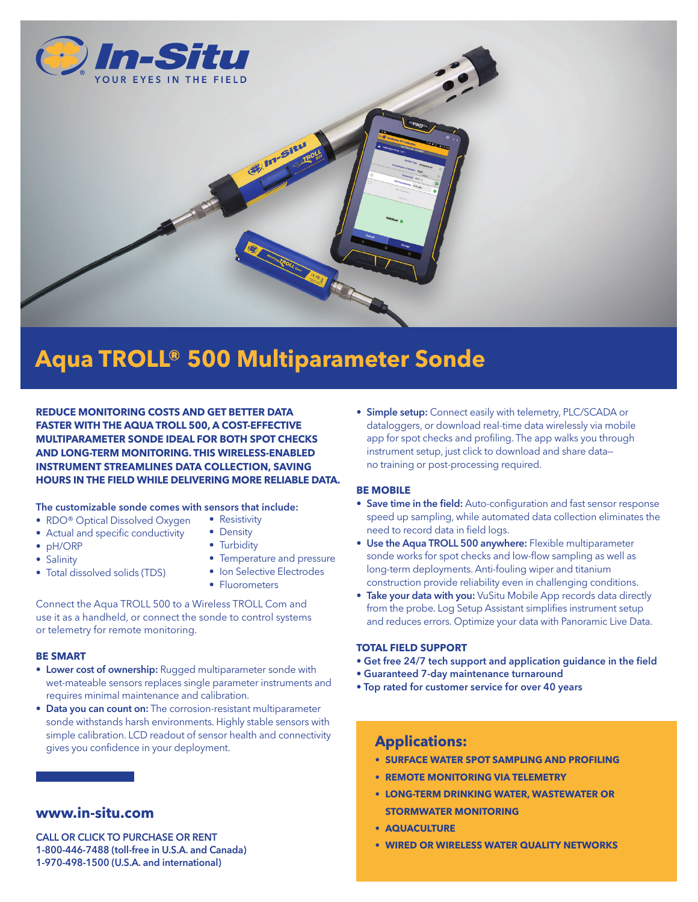

# **Aqua TROLL® 500 Multiparameter Sonde**

**REDUCE MONITORING COSTS AND GET BETTER DATA FASTER WITH THE AQUA TROLL 500, A COST-EFFECTIVE MULTIPARAMETER SONDE IDEAL FOR BOTH SPOT CHECKS AND LONG-TERM MONITORING. THIS WIRELESS-ENABLED INSTRUMENT STREAMLINES DATA COLLECTION, SAVING HOURS IN THE FIELD WHILE DELIVERING MORE RELIABLE DATA.**

#### The customizable sonde comes with sensors that include:

- RDO<sup>®</sup> Optical Dissolved Oxygen • Resistivity
- Actual and specific conductivity
- pH/ORP
- Salinity
- Total dissolved solids (TDS)
- Density • Turbidity
- Temperature and pressure
- Ion Selective Electrodes
- Fluorometers

Connect the Aqua TROLL 500 to a Wireless TROLL Com and use it as a handheld, or connect the sonde to control systems or telemetry for remote monitoring.

#### **BE SMART**

- Lower cost of ownership: Rugged multiparameter sonde with wet-mateable sensors replaces single parameter instruments and requires minimal maintenance and calibration.
- Data you can count on: The corrosion-resistant multiparameter sonde withstands harsh environments. Highly stable sensors with simple calibration. LCD readout of sensor health and connectivity gives you confidence in your deployment.

## **www.in-situ.com**

CALL OR CLICK TO PURCHASE OR RENT 1-800-446-7488 (toll-free in U.S.A. and Canada) 1-970-498-1500 (U.S.A. and international)

• Simple setup: Connect easily with telemetry, PLC/SCADA or dataloggers, or download real-time data wirelessly via mobile app for spot checks and profiling. The app walks you through instrument setup, just click to download and share data no training or post-processing required.

#### **BE MOBILE**

- Save time in the field: Auto-configuration and fast sensor response speed up sampling, while automated data collection eliminates the need to record data in field logs.
- Use the Aqua TROLL 500 anywhere: Flexible multiparameter sonde works for spot checks and low-flow sampling as well as long-term deployments. Anti-fouling wiper and titanium construction provide reliability even in challenging conditions.
- Take your data with you: VuSitu Mobile App records data directly from the probe. Log Setup Assistant simplifies instrument setup and reduces errors. Optimize your data with Panoramic Live Data.

#### **TOTAL FIELD SUPPORT**

- Get free 24/7 tech support and application guidance in the field
- Guaranteed 7-day maintenance turnaround
- Top rated for customer service for over 40 years

### **Applications:**

- **• SURFACE WATER SPOT SAMPLING AND PROFILING**
- **• REMOTE MONITORING VIA TELEMETRY**
- **• LONG-TERM DRINKING WATER, WASTEWATER OR STORMWATER MONITORING**
- **• AQUACULTURE**
- **• WIRED OR WIRELESS WATER QUALITY NETWORKS**